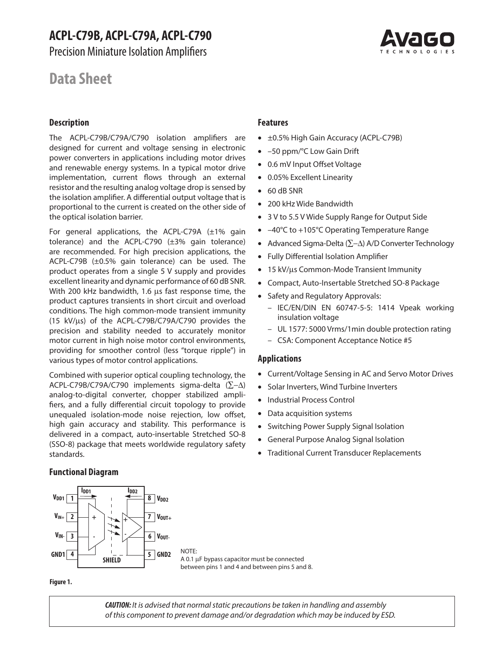Precision Miniature Isolation Amplifiers

# **Data Sheet**

# **Description**

The ACPL-C79B/C79A/C790 isolation amplifiers are designed for current and voltage sensing in electronic power converters in applications including motor drives and renewable energy systems. In a typical motor drive implementation, current flows through an external resistor and the resulting analog voltage drop is sensed by the isolation amplifier. A differential output voltage that is proportional to the current is created on the other side of the optical isolation barrier.

For general applications, the ACPL-C79A (±1% gain tolerance) and the ACPL-C790 (±3% gain tolerance) are recommended. For high precision applications, the ACPL-C79B (±0.5% gain tolerance) can be used. The product operates from a single 5 V supply and provides excellent linearity and dynamic performance of 60 dB SNR. With 200 kHz bandwidth, 1.6 us fast response time, the product captures transients in short circuit and overload conditions. The high common-mode transient immunity (15 kV/µs) of the ACPL-C79B/C79A/C790 provides the precision and stability needed to accurately monitor motor current in high noise motor control environments, providing for smoother control (less "torque ripple") in various types of motor control applications.

Combined with superior optical coupling technology, the ACPL-C79B/C79A/C790 implements sigma-delta (∑-∆) analog-to-digital converter, chopper stabilized amplifiers, and a fully differential circuit topology to provide unequaled isolation-mode noise rejection, low offset, high gain accuracy and stability. This performance is delivered in a compact, auto-insertable Stretched SO-8 (SSO-8) package that meets worldwide regulatory safety standards.

# **Features**

- ±0.5% High Gain Accuracy (ACPL-C79B)
- –50 ppm/°C Low Gain Drift
- 0.6 mV Input Offset Voltage
- 0.05% Excellent Linearity
- 60 dB SNR
- 200 kHz Wide Bandwidth
- 3 V to 5.5 V Wide Supply Range for Output Side
- –40°C to +105°C Operating Temperature Range
- Advanced Sigma-Delta (∑-∆) A/D Converter Technology
- Fully Differential Isolation Amplifier
- 15 kV/µs Common-Mode Transient Immunity
- Compact, Auto-Insertable Stretched SO-8 Package
- Safety and Regulatory Approvals:
	- IEC/EN/DIN EN 60747-5-5: 1414 Vpeak working insulation voltage
	- UL 1577: 5000 Vrms/1min double protection rating
	- CSA: Component Acceptance Notice #5

### **Applications**

- Current/Voltage Sensing in AC and Servo Motor Drives
- Solar Inverters, Wind Turbine Inverters
- Industrial Process Control
- Data acquisition systems
- Switching Power Supply Signal Isolation
- General Purpose Analog Signal Isolation
- Traditional Current Transducer Replacements

# **Functional Diagram**



A 0.1 μF bypass capacitor must be connected between pins 1 and 4 and between pins 5 and 8.

#### **Figure 1.**

*CAUTION: It is advised that normal static precautions be taken in handling and assembly of this component to prevent damage and/or degradation which may be induced by ESD.*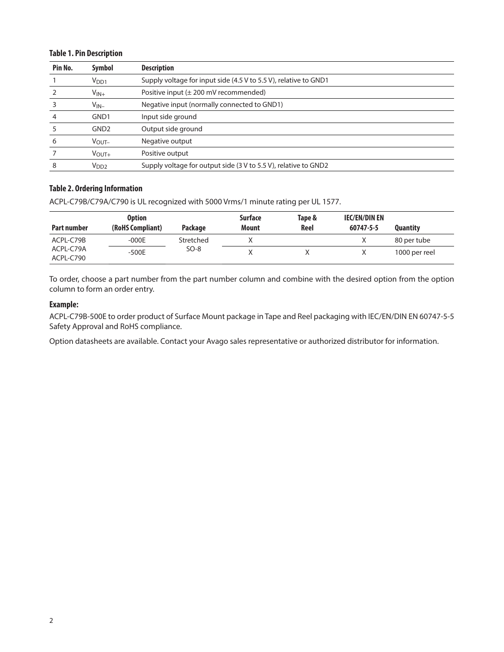# **Table 1. Pin Description**

| Pin No. | Symbol            | <b>Description</b>                                               |
|---------|-------------------|------------------------------------------------------------------|
|         | V <sub>DD1</sub>  | Supply voltage for input side (4.5 V to 5.5 V), relative to GND1 |
|         | $V_{IN+}$         | Positive input $(\pm 200 \text{ mV}$ recommended)                |
|         | $V_{IN-}$         | Negative input (normally connected to GND1)                      |
|         | GND1              | Input side ground                                                |
|         | GND <sub>2</sub>  | Output side ground                                               |
|         | $V_{\text{OUT}-}$ | Negative output                                                  |
|         | $V_{\text{OUT}+}$ | Positive output                                                  |
|         | V <sub>DD2</sub>  | Supply voltage for output side (3 V to 5.5 V), relative to GND2  |

# **Table 2. Ordering Information**

ACPL-C79B/C79A/C790 is UL recognized with 5000 Vrms/1 minute rating per UL 1577.

| Part number            | <b>Option</b><br>(RoHS Compliant) | Package   | <b>Surface</b><br><b>Mount</b> | Tape &<br>Reel | IEC/EN/DIN EN<br>60747-5-5 | <b>Quantity</b> |
|------------------------|-----------------------------------|-----------|--------------------------------|----------------|----------------------------|-----------------|
| ACPL-C79B              | $-000E$                           | Stretched |                                |                |                            | 80 per tube     |
| ACPL-C79A<br>ACPL-C790 | $-500E$                           | $SO-8$    |                                |                |                            | 1000 per reel   |

To order, choose a part number from the part number column and combine with the desired option from the option column to form an order entry.

# **Example:**

ACPL-C79B-500E to order product of Surface Mount package in Tape and Reel packaging with IEC/EN/DIN EN 60747-5-5 Safety Approval and RoHS compliance.

Option datasheets are available. Contact your Avago sales representative or authorized distributor for information.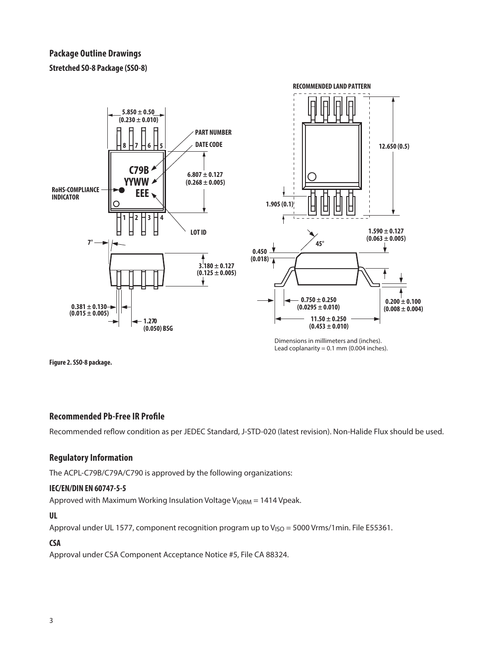**Stretched SO-8 Package (SSO-8)**



Dimensions in millimeters and (inches). Lead coplanarity =  $0.1$  mm (0.004 inches).

**Figure 2. SSO-8 package.**

# **Recommended Pb-Free IR Profile**

Recommended reflow condition as per JEDEC Standard, J-STD-020 (latest revision). Non-Halide Flux should be used.

# **Regulatory Information**

The ACPL-C79B/C79A/C790 is approved by the following organizations:

# **IEC/EN/DIN EN 60747-5-5**

Approved with Maximum Working Insulation Voltage  $V_{\text{ICRM}} = 1414$  Vpeak.

# **UL**

Approval under UL 1577, component recognition program up to  $V<sub>ISO</sub> = 5000 V$ rms/1min. File E55361.

# **CSA**

Approval under CSA Component Acceptance Notice #5, File CA 88324.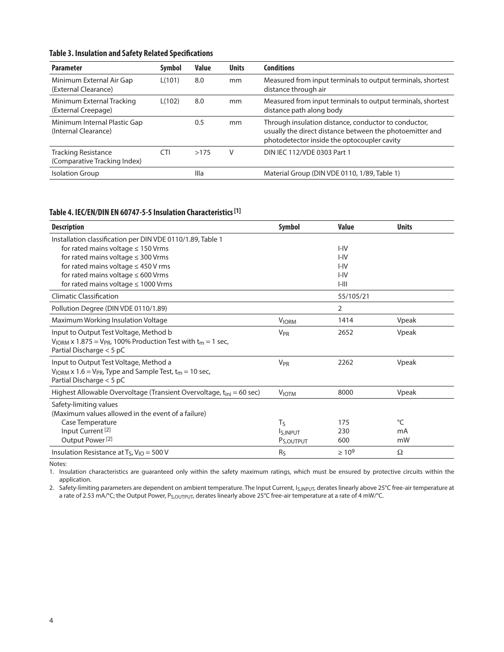# **Table 3. Insulation and Safety Related Specifications**

| <b>Parameter</b>                                           | <b>Symbol</b> | <b>Value</b> | <b>Units</b> | <b>Conditions</b>                                                                                                                                               |
|------------------------------------------------------------|---------------|--------------|--------------|-----------------------------------------------------------------------------------------------------------------------------------------------------------------|
| Minimum External Air Gap<br>(External Clearance)           | L(101)        | 8.0          | mm           | Measured from input terminals to output terminals, shortest<br>distance through air                                                                             |
| Minimum External Tracking<br>(External Creepage)           | L(102)        | 8.0          | mm           | Measured from input terminals to output terminals, shortest<br>distance path along body                                                                         |
| Minimum Internal Plastic Gap<br>(Internal Clearance)       |               | 0.5          | mm           | Through insulation distance, conductor to conductor,<br>usually the direct distance between the photoemitter and<br>photodetector inside the optocoupler cavity |
| <b>Tracking Resistance</b><br>(Comparative Tracking Index) | CTI           | >175         | V            | DIN IEC 112/VDE 0303 Part 1                                                                                                                                     |
| <b>Isolation Group</b>                                     |               | Illa         |              | Material Group (DIN VDE 0110, 1/89, Table 1)                                                                                                                    |

# **Table 4. IEC/EN/DIN EN 60747-5-5 Insulation Characteristics [1]**

| <b>Description</b>                                                                     | Symbol                  | <b>Value</b> | <b>Units</b> |
|----------------------------------------------------------------------------------------|-------------------------|--------------|--------------|
| Installation classification per DIN VDE 0110/1.89, Table 1                             |                         |              |              |
| for rated mains voltage $\leq 150$ Vrms                                                |                         | $I - IV$     |              |
| for rated mains voltage $\leq$ 300 Vrms                                                |                         | $I - IV$     |              |
| for rated mains voltage $\leq$ 450 V rms                                               |                         | $I - IV$     |              |
| for rated mains voltage $\leq 600$ Vrms                                                |                         | $I - IV$     |              |
| for rated mains voltage $\leq 1000$ Vrms                                               |                         | $I-III$      |              |
| <b>Climatic Classification</b>                                                         |                         | 55/105/21    |              |
| Pollution Degree (DIN VDE 0110/1.89)                                                   |                         | 2            |              |
| Maximum Working Insulation Voltage                                                     | <b>VIORM</b>            | 1414         | Vpeak        |
| Input to Output Test Voltage, Method b                                                 | <b>V<sub>PR</sub></b>   | 2652         | Vpeak        |
| $V_{\text{IORM}}$ x 1.875 = $V_{\text{PR}}$ , 100% Production Test with $t_m$ = 1 sec, |                         |              |              |
| Partial Discharge < 5 pC                                                               |                         |              |              |
| Input to Output Test Voltage, Method a                                                 | <b>V<sub>PR</sub></b>   | 2262         | Vpeak        |
| $V_{\text{IORM}}$ x 1.6 = $V_{\text{PR}}$ , Type and Sample Test, $t_m$ = 10 sec,      |                         |              |              |
| Partial Discharge $<$ 5 pC                                                             |                         |              |              |
| Highest Allowable Overvoltage (Transient Overvoltage, t <sub>ini</sub> = 60 sec)       | <b>VIOTM</b>            | 8000         | Vpeak        |
| Safety-limiting values                                                                 |                         |              |              |
| (Maximum values allowed in the event of a failure)                                     |                         |              |              |
| Case Temperature                                                                       | Tς                      | 175          | °C           |
| Input Current <sup>[2]</sup>                                                           | <b>IS, INPUT</b>        | 230          | mA           |
| Output Power <sup>[2]</sup>                                                            | P <sub>S</sub> , OUTPUT | 600          | mW           |
| Insulation Resistance at T <sub>S</sub> , $V_{1O} = 500 V$                             | R <sub>S</sub>          | $\geq 10^9$  | Ω            |

Notes:

1. Insulation characteristics are guaranteed only within the safety maximum ratings, which must be ensured by protective circuits within the application.

2. Safety-limiting parameters are dependent on ambient temperature. The Input Current, I<sub>S,INPUT</sub>, derates linearly above 25°C free-air temperature at a rate of 2.53 mA/°C; the Output Power, P<sub>S,OUTPUT</sub>, derates linearly above 25°C free-air temperature at a rate of 4 mW/°C.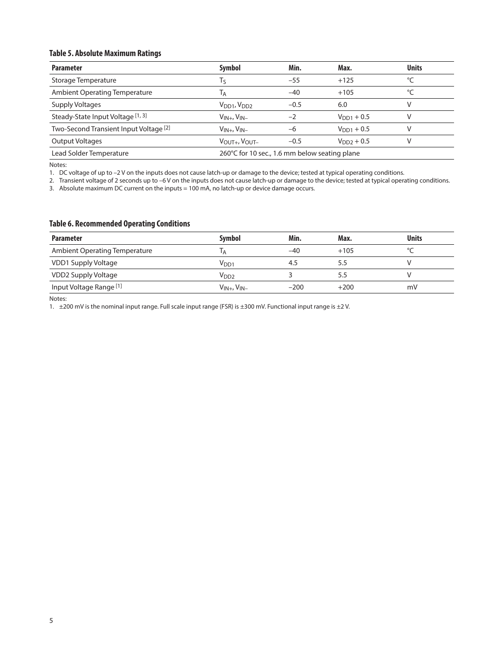# **Table 5. Absolute Maximum Ratings**

| <b>Parameter</b>                       | <b>Symbol</b>                                 | Min.   | Max.                   | <b>Units</b> |
|----------------------------------------|-----------------------------------------------|--------|------------------------|--------------|
| Storage Temperature                    | Τς                                            | $-55$  | $+125$                 | °C           |
| <b>Ambient Operating Temperature</b>   | Iд                                            | $-40$  | $+105$                 | °C           |
| Supply Voltages                        | V <sub>DD1</sub> , V <sub>DD2</sub>           | $-0.5$ | 6.0                    | v            |
| Steady-State Input Voltage [1, 3]      | $V_{IN+}$ , $V_{IN-}$                         | $-2$   | $V_{\text{DD1}} + 0.5$ |              |
| Two-Second Transient Input Voltage [2] | $V_{IN+}$ , $V_{IN-}$                         | -6     | $V_{DD1} + 0.5$        |              |
| <b>Output Voltages</b>                 | VOUT+, VOUT-                                  | $-0.5$ | $V_{DD2} + 0.5$        |              |
| Lead Solder Temperature                | 260°C for 10 sec., 1.6 mm below seating plane |        |                        |              |

Notes:

1. DC voltage of up to –2 V on the inputs does not cause latch-up or damage to the device; tested at typical operating conditions.

2. Transient voltage of 2 seconds up to –6 V on the inputs does not cause latch-up or damage to the device; tested at typical operating conditions.

3. Absolute maximum DC current on the inputs = 100 mA, no latch-up or device damage occurs.

# **Table 6. Recommended Operating Conditions**

| <b>Parameter</b>                   | <b>Symbol</b>         | Min.   | Max.   | <b>Units</b> |
|------------------------------------|-----------------------|--------|--------|--------------|
| Ambient Operating Temperature      | l A                   | -40    | $+105$ |              |
| VDD1 Supply Voltage                | V <sub>DD1</sub>      | 4.5    | 5.5    |              |
| VDD2 Supply Voltage                | V <sub>DD2</sub>      |        | 5.5    |              |
| Input Voltage Range <sup>[1]</sup> | $V_{IN+}$ , $V_{IN-}$ | $-200$ | $+200$ | mV           |

Notes:

1. ±200 mV is the nominal input range. Full scale input range (FSR) is ±300 mV. Functional input range is ±2 V.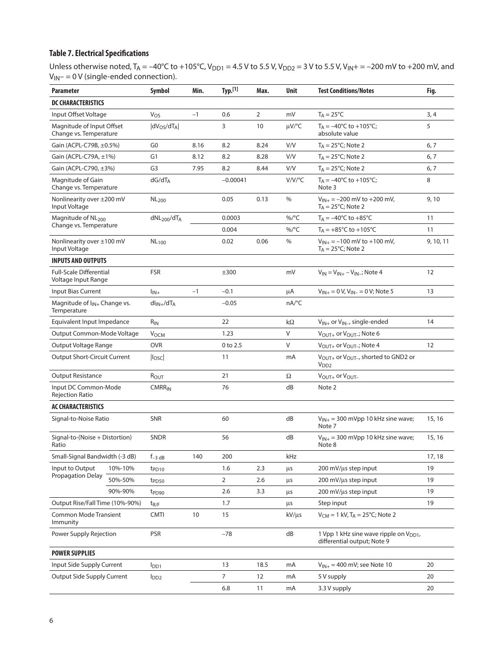# **Table 7. Electrical Specifications**

Unless otherwise noted, T<sub>A</sub> = –40°C to +105°C, V<sub>DD1</sub> = 4.5 V to 5.5 V, V<sub>DD2</sub> = 3 V to 5.5 V, V<sub>IN</sub>+ = –200 mV to +200 mV, and  $V_{IN} = 0 V$  (single-ended connection).

| <b>Parameter</b>                                        |         | Symbol                              | Min. | Typ. <sup>[1]</sup>                                          | Max.           | <b>Unit</b> | <b>Test Conditions/Notes</b>                                                    | Fig.      |
|---------------------------------------------------------|---------|-------------------------------------|------|--------------------------------------------------------------|----------------|-------------|---------------------------------------------------------------------------------|-----------|
| <b>DC CHARACTERISTICS</b>                               |         |                                     |      |                                                              |                |             |                                                                                 |           |
| Input Offset Voltage                                    |         | $V_{OS}$                            | $-1$ | 0.6                                                          | $\overline{2}$ | mV          | $T_A = 25^{\circ}C$                                                             | 3, 4      |
| Magnitude of Input Offset<br>Change vs. Temperature     |         | $ dV_{OS}/dT_A $                    |      | 3                                                            | 10             | µV/°C       | $T_A = -40^{\circ}$ C to +105°C;<br>absolute value                              | 5         |
| Gain (ACPL-C79B, ±0.5%)                                 |         | G <sub>0</sub>                      | 8.16 | 8.2                                                          | 8.24           | V/V         | $T_A = 25^{\circ}$ C; Note 2                                                    | 6, 7      |
| Gain (ACPL-C79A, ±1%)                                   |         | G1                                  | 8.12 | 8.2                                                          | 8.28           | V/V         | $T_A = 25^{\circ}$ C; Note 2                                                    | 6, 7      |
| Gain (ACPL-C790, ±3%)                                   |         | G3                                  | 7.95 | 8.2                                                          | 8.44           | V/V         | $T_A = 25^{\circ}$ C; Note 2                                                    | 6, 7      |
| Magnitude of Gain<br>Change vs. Temperature             |         | $dG/dT_A$                           |      | $-0.00041$                                                   |                | V/V/°C      | $T_A = -40$ °C to +105°C;<br>Note 3                                             | 8         |
| Nonlinearity over ±200 mV<br>Input Voltage              |         | <b>NL200</b>                        |      | 0.05                                                         | 0.13           | $\%$        | $V_{IN+}$ = -200 mV to +200 mV,<br>$T_A = 25^{\circ}C$ ; Note 2                 | 9,10      |
| Magnitude of NL <sub>200</sub>                          |         | dNL <sub>200</sub> /dT <sub>A</sub> |      | 0.0003                                                       |                | %/°C        | $T_A = -40^{\circ}C$ to $+85^{\circ}C$                                          | 11        |
| Change vs. Temperature                                  |         |                                     |      | 0.004                                                        |                | %/°C        | $T_A = +85^{\circ}C$ to $+105^{\circ}C$                                         | 11        |
| Nonlinearity over ±100 mV<br>Input Voltage              |         | NL <sub>100</sub>                   |      | 0.02                                                         | 0.06           | %           | $V_{IN+} = -100$ mV to +100 mV,<br>$T_A = 25^{\circ}C$ ; Note 2                 | 9, 10, 11 |
| <b>INPUTS AND OUTPUTS</b>                               |         |                                     |      |                                                              |                |             |                                                                                 |           |
| <b>Full-Scale Differential</b><br>Voltage Input Range   |         | <b>FSR</b>                          |      | ±300                                                         |                | mV          | $V_{IN} = V_{IN+} - V_{IN-}$ ; Note 4                                           | 12        |
| Input Bias Current                                      |         | $I_{IN+}$                           | $-1$ | $-0.1$                                                       |                | μA          | $V_{IN+} = 0 V, V_{IN-} = 0 V;$ Note 5                                          | 13        |
| Magnitude of I <sub>IN+</sub> Change vs.<br>Temperature |         | $dl_{IN+}/dT_A$                     |      | $-0.05$                                                      |                | nA/°C       |                                                                                 |           |
| Equivalent Input Impedance                              |         | $R_{IN}$                            |      | 22                                                           |                | $k\Omega$   | $V_{IN+}$ or $V_{IN-}$ , single-ended                                           | 14        |
| Output Common-Mode Voltage                              |         | VOCM                                |      | 1.23<br>V<br>V <sub>OUT+</sub> or V <sub>OUT-</sub> ; Note 6 |                |             |                                                                                 |           |
| Output Voltage Range                                    |         | <b>OVR</b>                          |      | 0 to 2.5                                                     |                | V           | V <sub>OUT+</sub> or V <sub>OUT-</sub> ; Note 4                                 | 12        |
| <b>Output Short-Circuit Current</b>                     |         | I <sub>OSC</sub>                    |      | 11                                                           |                | mA          | $V_{\text{OUT+}}$ or $V_{\text{OUT-}}$ , shorted to GND2 or<br>V <sub>DD2</sub> |           |
| <b>Output Resistance</b>                                |         | ROUT                                |      | 21                                                           |                | Ω           | $V_{\text{OUT}+}$ or $V_{\text{OUT}-}$                                          |           |
| Input DC Common-Mode<br><b>Rejection Ratio</b>          |         | $CMRR_{IN}$                         |      | 76                                                           |                | dB          | Note 2                                                                          |           |
| <b>AC CHARACTERISTICS</b>                               |         |                                     |      |                                                              |                |             |                                                                                 |           |
| Signal-to-Noise Ratio                                   |         | <b>SNR</b>                          |      | 60                                                           |                | dB          | $V_{IN+}$ = 300 mVpp 10 kHz sine wave;<br>Note 7                                | 15, 16    |
| Signal-to-(Noise + Distortion)<br>Ratio                 |         | <b>SNDR</b>                         |      | 56                                                           |                | dB          | $V_{IN+}$ = 300 mVpp 10 kHz sine wave;<br>Note 8                                | 15, 16    |
| Small-Signal Bandwidth (-3 dB)                          |         | $f_{-3}$ dB                         | 140  | 200                                                          |                | kHz         |                                                                                 | 17, 18    |
| Input to Output                                         | 10%-10% | t <sub>PD10</sub>                   |      | 1.6                                                          | 2.3            | μs          | 200 mV/us step input                                                            | 19        |
| Propagation Delay                                       | 50%-50% | t <sub>PD50</sub>                   |      | $\overline{2}$                                               | 2.6            | μs          | 200 mV/us step input                                                            | 19        |
|                                                         | 90%-90% | t <sub>PD90</sub>                   |      | 2.6                                                          | 3.3            | μs          | 200 mV/us step input                                                            | 19        |
| Output Rise/Fall Time (10%-90%)                         |         | $t_{R/F}$                           |      | 1.7                                                          |                | μs          | Step input                                                                      | 19        |
| <b>Common Mode Transient</b><br>Immunity                |         | CMTI                                | 10   | 15                                                           |                | $kV/\mu s$  | $V_{CM} = 1$ kV, T <sub>A</sub> = 25°C; Note 2                                  |           |
| Power Supply Rejection                                  |         | <b>PSR</b>                          |      | $-78$                                                        |                | dB          | 1 Vpp 1 kHz sine wave ripple on $V_{DD1}$ ,<br>differential output; Note 9      |           |
| <b>POWER SUPPLIES</b>                                   |         |                                     |      |                                                              |                |             |                                                                                 |           |
| Input Side Supply Current                               |         | I <sub>DD1</sub>                    |      | 13                                                           | 18.5           | mA          | $V_{IN+}$ = 400 mV; see Note 10                                                 | 20        |
| Output Side Supply Current                              |         | $I_{DD2}$                           |      | 7                                                            | 12             | mA          | 5 V supply                                                                      | 20        |
|                                                         |         |                                     |      | 6.8                                                          | 11             | mA          | 3.3 V supply                                                                    | 20        |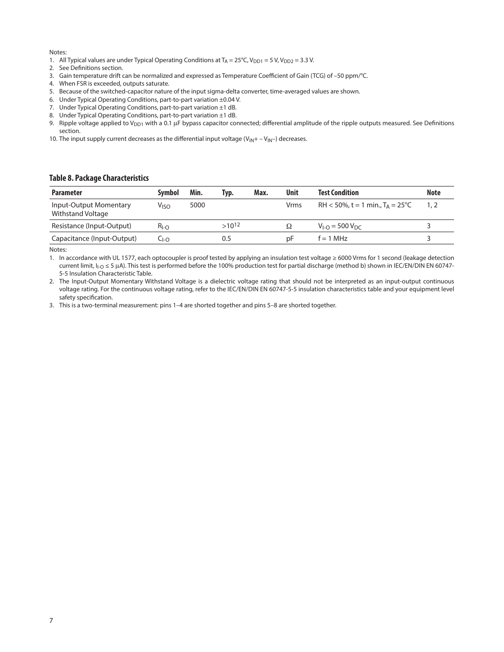#### Notes:

- 1. All Typical values are under Typical Operating Conditions at  $T_A = 25^{\circ}C$ ,  $V_{DD1} = 5 V$ ,  $V_{DD2} = 3.3 V$ .
- 2. See Definitions section.
- 3. Gain temperature drift can be normalized and expressed as Temperature Coefficient of Gain (TCG) of –50 ppm/°C.
- 4. When FSR is exceeded, outputs saturate.
- 5. Because of the switched-capacitor nature of the input sigma-delta converter, time-averaged values are shown.
- 6. Under Typical Operating Conditions, part-to-part variation ±0.04 V.
- 7. Under Typical Operating Conditions, part-to-part variation ±1 dB.
- 8. Under Typical Operating Conditions, part-to-part variation ±1 dB.
- 9. Ripple voltage applied to V<sub>DD1</sub> with a 0.1 µF bypass capacitor connected; differential amplitude of the ripple outputs measured. See Definitions section.
- 10. The input supply current decreases as the differential input voltage  $(V_{IN} + -V_{IN} -)$  decreases.

#### **Table 8. Package Characteristics**

| <b>Parameter</b>                            | Svmbol    | Min. | Typ.       | Max. | <b>Unit</b> | <b>Test Condition</b>                            | <b>Note</b> |
|---------------------------------------------|-----------|------|------------|------|-------------|--------------------------------------------------|-------------|
| Input-Output Momentary<br>Withstand Voltage | Viso      | 5000 |            |      | <b>Vrms</b> | $RH < 50\%$ , t = 1 min., T <sub>A</sub> = 25 °C |             |
| Resistance (Input-Output)                   | $R_{I-O}$ |      | $>10^{12}$ |      | $\Omega$    | $V_{\text{LO}} = 500 V_{\text{DC}}$              |             |
| Capacitance (Input-Output)                  | -1-0      |      | 0.5        |      | рF          | $f = 1$ MHz                                      |             |

Notes:

1. In accordance with UL 1577, each optocoupler is proof tested by applying an insulation test voltage ≥ 6000 Vrms for 1 second (leakage detection current limit, I<sub>I-O</sub> ≤ 5 µA). This test is performed before the 100% production test for partial discharge (method b) shown in IEC/EN/DIN EN 60747-5-5 Insulation Characteristic Table.

2. The Input-Output Momentary Withstand Voltage is a dielectric voltage rating that should not be interpreted as an input-output continuous voltage rating. For the continuous voltage rating, refer to the IEC/EN/DIN EN 60747-5-5 insulation characteristics table and your equipment level safety specification.

3. This is a two-terminal measurement: pins 1–4 are shorted together and pins 5–8 are shorted together.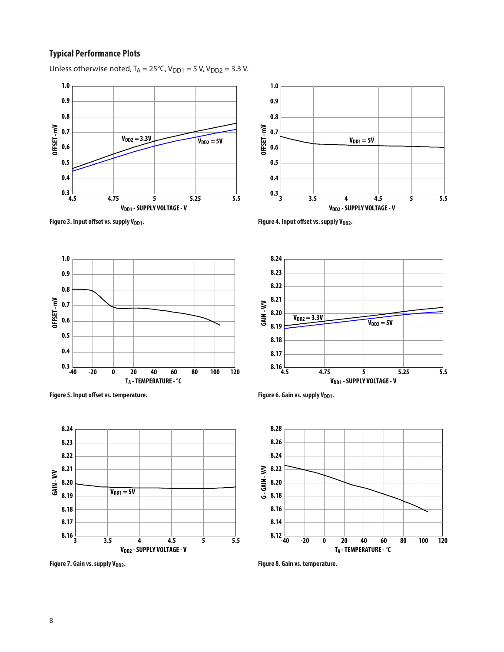# **Typical Performance Plots**

Unless otherwise noted,  $T_A = 25^{\circ}C$ ,  $V_{DD1} = 5$  V,  $V_{DD2} = 3.3$  V.









Figure 5. Input offset vs. temperature. **Example 20 and Set 20 and Set 20 and Set 20 and Set 20 and Set 20 and Set 20 and Set 20 and Set 20 and Set 20 and Set 20 and Set 20 and Set 20 and Set 20 and Set 20 and Set 20 and S** 



Figure 7. Gain vs. supply V<sub>DD2</sub>. *Figure 8. Gain vs. temperature.* 



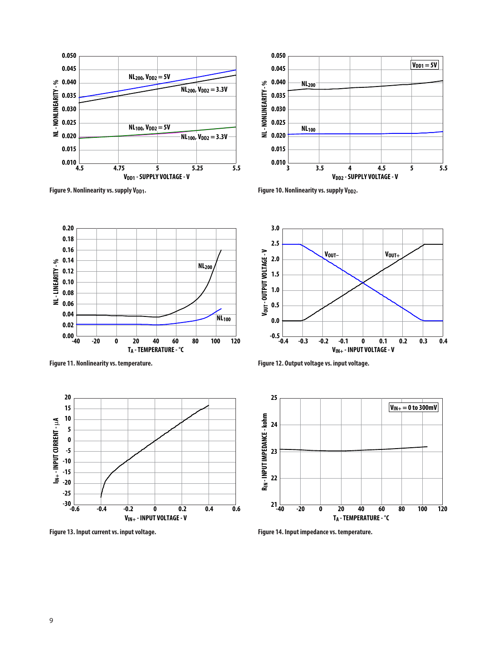







 $0.00\frac{1}{40}$ **0.02 0.04 0.06 0.08 0.10 0.12 0.14 0.16 0.18 0.20**

**NL - LINEARITY - %**

NL-LINEARITY-%



**Figure 13. Input current vs. input voltage. Figure 14. Input impedance vs. temperature.**

**Figure 11. Nonlinearity vs. temperature. Figure 12. Output voltage vs. input voltage.**



**VIN+ - INPUT VOLTAGE - V**

 $V_{\text{OUT}-}$   $V_{\text{OUT+}}$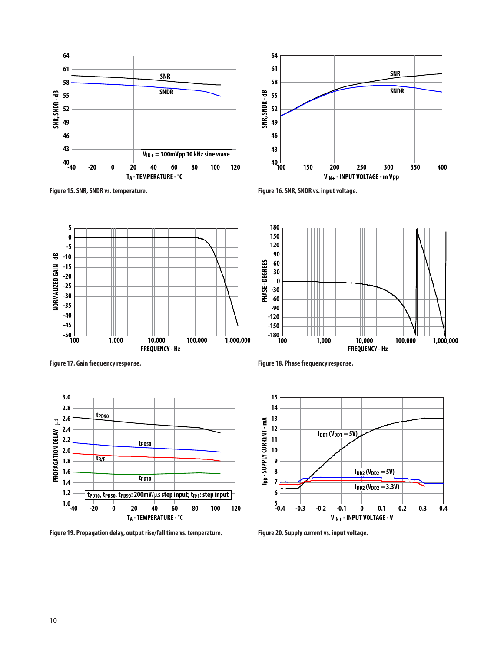











**Figure 19. Propagation delay, output rise/fall time vs. temperature. Figure 20. Supply current vs. input voltage.**

**Figure 17. Gain frequency response. Figure 18. Phase frequency response.**



**FREQUENCY - Hz**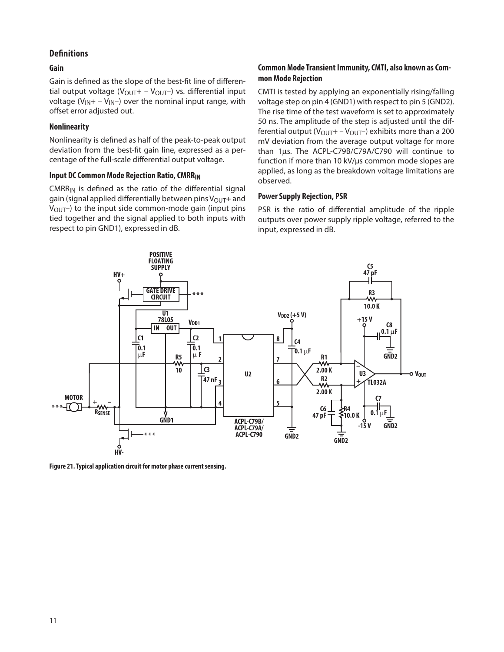# **Definitions**

# **Gain**

Gain is defined as the slope of the best-fit line of differential output voltage ( $V_{\text{OUT}}$  –  $V_{\text{OUT}}$ ) vs. differential input voltage ( $V_{IN}$ + –  $V_{IN}$ ) over the nominal input range, with offset error adjusted out.

# **Nonlinearity**

Nonlinearity is defined as half of the peak-to-peak output deviation from the best-fit gain line, expressed as a percentage of the full-scale differential output voltage.

# **Input DC Common Mode Rejection Ratio, CMRRIN**

 $CMRR_{IN}$  is defined as the ratio of the differential signal gain (signal applied differentially between pins  $V_{\text{OUT}}+$  and  $V_{\text{OUT}}$ ) to the input side common-mode gain (input pins tied together and the signal applied to both inputs with respect to pin GND1), expressed in dB.

# **Common Mode Transient Immunity, CMTI, also known as Common Mode Rejection**

CMTI is tested by applying an exponentially rising/falling voltage step on pin 4 (GND1) with respect to pin 5 (GND2). The rise time of the test waveform is set to approximately 50 ns. The amplitude of the step is adjusted until the differential output ( $V_{\text{OUT}}$  –  $V_{\text{OUT}}$ ) exhibits more than a 200 mV deviation from the average output voltage for more than 1μs. The ACPL-C79B/C79A/C790 will continue to function if more than 10 kV/μs common mode slopes are applied, as long as the breakdown voltage limitations are observed.

# **Power Supply Rejection, PSR**

PSR is the ratio of differential amplitude of the ripple outputs over power supply ripple voltage, referred to the input, expressed in dB.



**Figure 21. Typical application circuit for motor phase current sensing.**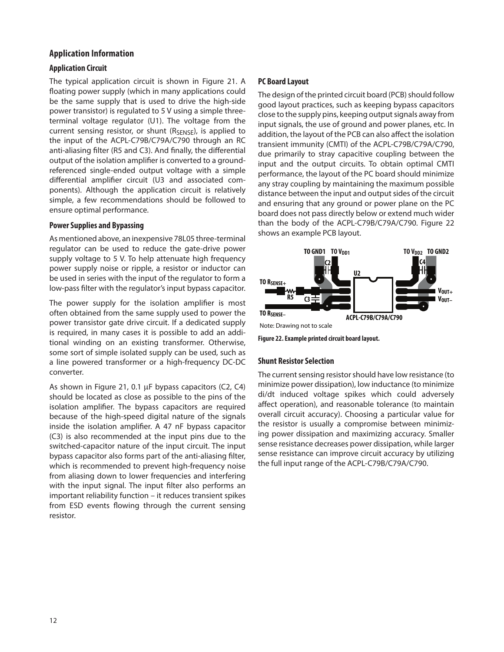# **Application Information**

# **Application Circuit**

The typical application circuit is shown in Figure 21. A floating power supply (which in many applications could be the same supply that is used to drive the high-side power transistor) is regulated to 5 V using a simple threeterminal voltage regulator (U1). The voltage from the current sensing resistor, or shunt (R<sub>SENSE</sub>), is applied to the input of the ACPL-C79B/C79A/C790 through an RC anti-aliasing filter (R5 and C3). And finally, the differential output of the isolation amplifier is converted to a groundreferenced single-ended output voltage with a simple differential amplifier circuit (U3 and associated components). Although the application circuit is relatively simple, a few recommendations should be followed to ensure optimal performance.

#### **Power Supplies and Bypassing**

As mentioned above, an inexpensive 78L05 three-terminal regulator can be used to reduce the gate-drive power supply voltage to 5 V. To help attenuate high frequency power supply noise or ripple, a resistor or inductor can be used in series with the input of the regulator to form a low-pass filter with the regulator's input bypass capacitor.

The power supply for the isolation amplifier is most often obtained from the same supply used to power the power transistor gate drive circuit. If a dedicated supply is required, in many cases it is possible to add an additional winding on an existing transformer. Otherwise, some sort of simple isolated supply can be used, such as a line powered transformer or a high-frequency DC-DC converter.

As shown in Figure 21, 0.1 µF bypass capacitors (C2, C4) should be located as close as possible to the pins of the isolation amplifier. The bypass capacitors are required because of the high-speed digital nature of the signals inside the isolation amplifier. A 47 nF bypass capacitor (C3) is also recommended at the input pins due to the switched-capacitor nature of the input circuit. The input bypass capacitor also forms part of the anti-aliasing filter, which is recommended to prevent high-frequency noise from aliasing down to lower frequencies and interfering with the input signal. The input filter also performs an important reliability function – it reduces transient spikes from ESD events flowing through the current sensing resistor.

# **PC Board Layout**

The design of the printed circuit board (PCB) should follow good layout practices, such as keeping bypass capacitors close to the supply pins, keeping output signals away from input signals, the use of ground and power planes, etc. In addition, the layout of the PCB can also affect the isolation transient immunity (CMTI) of the ACPL-C79B/C79A/C790, due primarily to stray capacitive coupling between the input and the output circuits. To obtain optimal CMTI performance, the layout of the PC board should minimize any stray coupling by maintaining the maximum possible distance between the input and output sides of the circuit and ensuring that any ground or power plane on the PC board does not pass directly below or extend much wider than the body of the ACPL-C79B/C79A/C790. Figure 22 shows an example PCB layout.



**Figure 22. Example printed circuit board layout.**

### **Shunt Resistor Selection**

The current sensing resistor should have low resistance (to minimize power dissipation), low inductance (to minimize di/dt induced voltage spikes which could adversely affect operation), and reasonable tolerance (to maintain overall circuit accuracy). Choosing a particular value for the resistor is usually a compromise between minimizing power dissipation and maximizing accuracy. Smaller sense resistance decreases power dissipation, while larger sense resistance can improve circuit accuracy by utilizing the full input range of the ACPL-C79B/C79A/C790.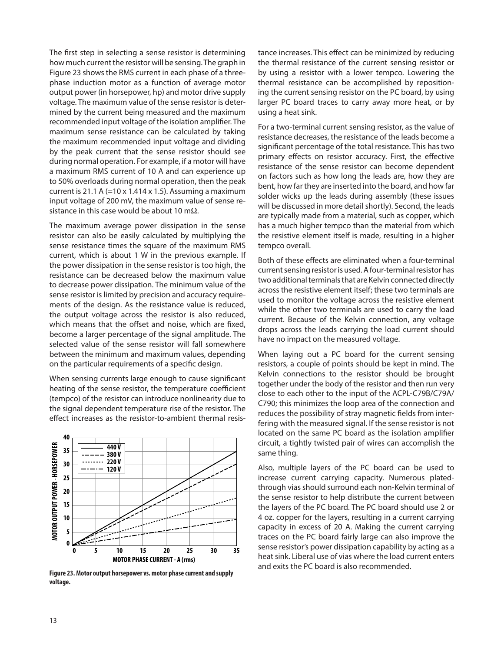The first step in selecting a sense resistor is determining how much current the resistor will be sensing. The graph in Figure 23 shows the RMS current in each phase of a threephase induction motor as a function of average motor output power (in horsepower, hp) and motor drive supply voltage. The maximum value of the sense resistor is determined by the current being measured and the maximum recommended input voltage of the isolation amplifier. The maximum sense resistance can be calculated by taking the maximum recommended input voltage and dividing by the peak current that the sense resistor should see during normal operation. For example, if a motor will have a maximum RMS current of 10 A and can experience up to 50% overloads during normal operation, then the peak current is 21.1 A  $(=10 \times 1.414 \times 1.5)$ . Assuming a maximum input voltage of 200 mV, the maximum value of sense resistance in this case would be about 10 m $\Omega$ .

The maximum average power dissipation in the sense resistor can also be easily calculated by multiplying the sense resistance times the square of the maximum RMS current, which is about 1 W in the previous example. If the power dissipation in the sense resistor is too high, the resistance can be decreased below the maximum value to decrease power dissipation. The minimum value of the sense resistor is limited by precision and accuracy requirements of the design. As the resistance value is reduced, the output voltage across the resistor is also reduced, which means that the offset and noise, which are fixed, become a larger percentage of the signal amplitude. The selected value of the sense resistor will fall somewhere between the minimum and maximum values, depending on the particular requirements of a specific design.

When sensing currents large enough to cause significant heating of the sense resistor, the temperature coefficient (tempco) of the resistor can introduce nonlinearity due to the signal dependent temperature rise of the resistor. The effect increases as the resistor-to-ambient thermal resis-



**Figure 23. Motor output horsepower vs. motor phase current and supply voltage.**

tance increases. This effect can be minimized by reducing the thermal resistance of the current sensing resistor or by using a resistor with a lower tempco. Lowering the thermal resistance can be accomplished by repositioning the current sensing resistor on the PC board, by using larger PC board traces to carry away more heat, or by using a heat sink.

For a two-terminal current sensing resistor, as the value of resistance decreases, the resistance of the leads become a significant percentage of the total resistance. This has two primary effects on resistor accuracy. First, the effective resistance of the sense resistor can become dependent on factors such as how long the leads are, how they are bent, how far they are inserted into the board, and how far solder wicks up the leads during assembly (these issues will be discussed in more detail shortly). Second, the leads are typically made from a material, such as copper, which has a much higher tempco than the material from which the resistive element itself is made, resulting in a higher tempco overall.

Both of these effects are eliminated when a four-terminal current sensing resistor is used. A four-terminal resistor has two additional terminals that are Kelvin connected directly across the resistive element itself; these two terminals are used to monitor the voltage across the resistive element while the other two terminals are used to carry the load current. Because of the Kelvin connection, any voltage drops across the leads carrying the load current should have no impact on the measured voltage.

When laying out a PC board for the current sensing resistors, a couple of points should be kept in mind. The Kelvin connections to the resistor should be brought together under the body of the resistor and then run very close to each other to the input of the ACPL-C79B/C79A/ C790; this minimizes the loop area of the connection and reduces the possibility of stray magnetic fields from interfering with the measured signal. If the sense resistor is not located on the same PC board as the isolation amplifier circuit, a tightly twisted pair of wires can accomplish the same thing.

Also, multiple layers of the PC board can be used to increase current carrying capacity. Numerous platedthrough vias should surround each non-Kelvin terminal of the sense resistor to help distribute the current between the layers of the PC board. The PC board should use 2 or 4 oz. copper for the layers, resulting in a current carrying capacity in excess of 20 A. Making the current carrying traces on the PC board fairly large can also improve the sense resistor's power dissipation capability by acting as a heat sink. Liberal use of vias where the load current enters and exits the PC board is also recommended.